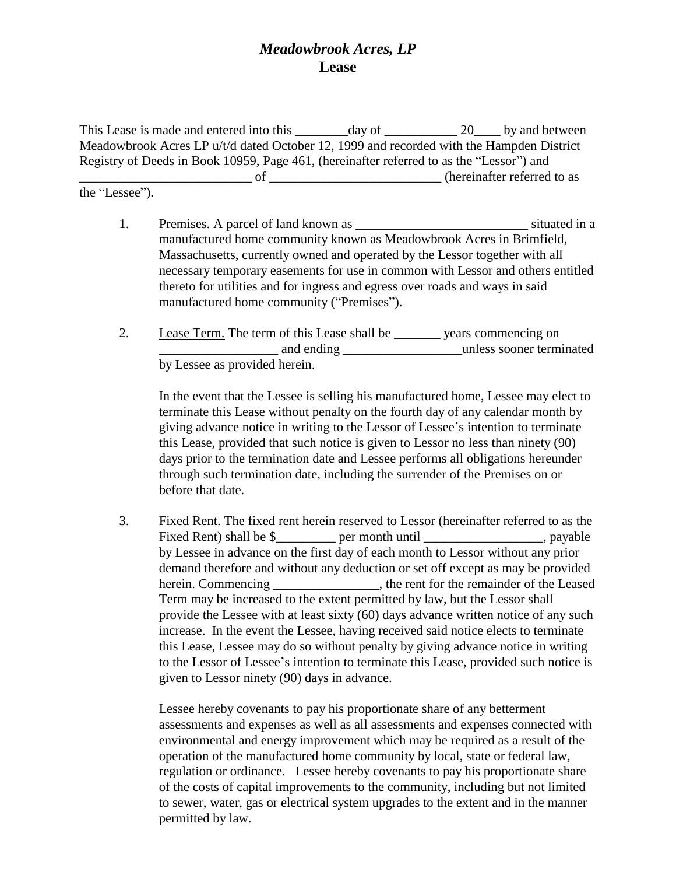## *Meadowbrook Acres, LP* **Lease**

This Lease is made and entered into this day of 20 by and between Meadowbrook Acres LP u/t/d dated October 12, 1999 and recorded with the Hampden District Registry of Deeds in Book 10959, Page 461, (hereinafter referred to as the "Lessor") and of <u>example of</u> the contract of the contract of the contract of the contract of the contract of the contract of the contract of the contract of the contract of the contract of the contract of the contract of the contract o

the "Lessee").

- 1. Premises. A parcel of land known as  $\blacksquare$  situated in a manufactured home community known as Meadowbrook Acres in Brimfield, Massachusetts, currently owned and operated by the Lessor together with all necessary temporary easements for use in common with Lessor and others entitled thereto for utilities and for ingress and egress over roads and ways in said manufactured home community ("Premises").
- 2. Lease Term. The term of this Lease shall be \_\_\_\_\_\_\_\_ years commencing on example and ending example and ending the solution of the solution of the solution of the solution of the solution of the solution of the solution of the solution of the solution of the solution of the solution of the solu by Lessee as provided herein.

In the event that the Lessee is selling his manufactured home, Lessee may elect to terminate this Lease without penalty on the fourth day of any calendar month by giving advance notice in writing to the Lessor of Lessee's intention to terminate this Lease, provided that such notice is given to Lessor no less than ninety (90) days prior to the termination date and Lessee performs all obligations hereunder through such termination date, including the surrender of the Premises on or before that date.

3. Fixed Rent. The fixed rent herein reserved to Lessor (hereinafter referred to as the Fixed Rent) shall be \$ per month until , payable by Lessee in advance on the first day of each month to Lessor without any prior demand therefore and without any deduction or set off except as may be provided herein. Commencing \_\_\_\_\_\_\_\_\_\_\_\_\_, the rent for the remainder of the Leased Term may be increased to the extent permitted by law, but the Lessor shall provide the Lessee with at least sixty (60) days advance written notice of any such increase. In the event the Lessee, having received said notice elects to terminate this Lease, Lessee may do so without penalty by giving advance notice in writing to the Lessor of Lessee's intention to terminate this Lease, provided such notice is given to Lessor ninety (90) days in advance.

Lessee hereby covenants to pay his proportionate share of any betterment assessments and expenses as well as all assessments and expenses connected with environmental and energy improvement which may be required as a result of the operation of the manufactured home community by local, state or federal law, regulation or ordinance. Lessee hereby covenants to pay his proportionate share of the costs of capital improvements to the community, including but not limited to sewer, water, gas or electrical system upgrades to the extent and in the manner permitted by law.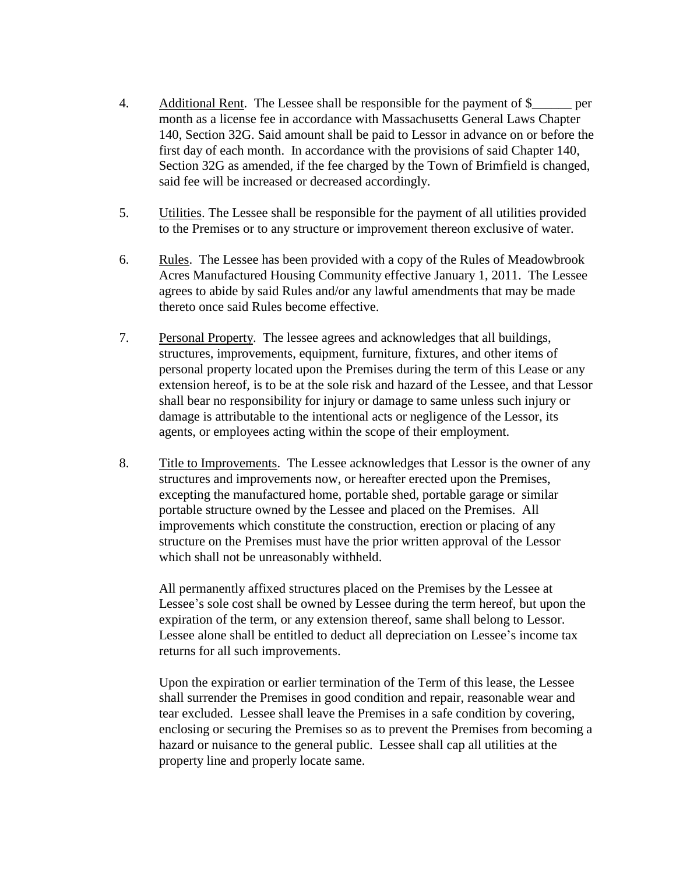- 4. Additional Rent. The Lessee shall be responsible for the payment of \$\_\_\_\_\_\_ per month as a license fee in accordance with Massachusetts General Laws Chapter 140, Section 32G. Said amount shall be paid to Lessor in advance on or before the first day of each month. In accordance with the provisions of said Chapter 140, Section 32G as amended, if the fee charged by the Town of Brimfield is changed, said fee will be increased or decreased accordingly.
- 5. Utilities. The Lessee shall be responsible for the payment of all utilities provided to the Premises or to any structure or improvement thereon exclusive of water.
- 6. Rules. The Lessee has been provided with a copy of the Rules of Meadowbrook Acres Manufactured Housing Community effective January 1, 2011. The Lessee agrees to abide by said Rules and/or any lawful amendments that may be made thereto once said Rules become effective.
- 7. Personal Property. The lessee agrees and acknowledges that all buildings, structures, improvements, equipment, furniture, fixtures, and other items of personal property located upon the Premises during the term of this Lease or any extension hereof, is to be at the sole risk and hazard of the Lessee, and that Lessor shall bear no responsibility for injury or damage to same unless such injury or damage is attributable to the intentional acts or negligence of the Lessor, its agents, or employees acting within the scope of their employment.
- 8. Title to Improvements. The Lessee acknowledges that Lessor is the owner of any structures and improvements now, or hereafter erected upon the Premises, excepting the manufactured home, portable shed, portable garage or similar portable structure owned by the Lessee and placed on the Premises. All improvements which constitute the construction, erection or placing of any structure on the Premises must have the prior written approval of the Lessor which shall not be unreasonably withheld.

All permanently affixed structures placed on the Premises by the Lessee at Lessee's sole cost shall be owned by Lessee during the term hereof, but upon the expiration of the term, or any extension thereof, same shall belong to Lessor. Lessee alone shall be entitled to deduct all depreciation on Lessee's income tax returns for all such improvements.

Upon the expiration or earlier termination of the Term of this lease, the Lessee shall surrender the Premises in good condition and repair, reasonable wear and tear excluded. Lessee shall leave the Premises in a safe condition by covering, enclosing or securing the Premises so as to prevent the Premises from becoming a hazard or nuisance to the general public. Lessee shall cap all utilities at the property line and properly locate same.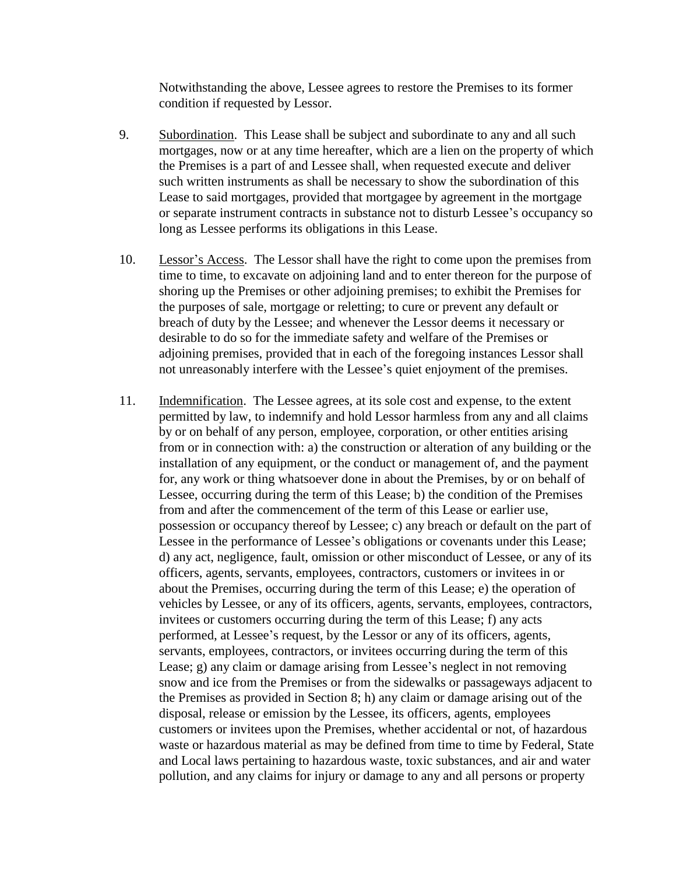Notwithstanding the above, Lessee agrees to restore the Premises to its former condition if requested by Lessor.

- 9. Subordination. This Lease shall be subject and subordinate to any and all such mortgages, now or at any time hereafter, which are a lien on the property of which the Premises is a part of and Lessee shall, when requested execute and deliver such written instruments as shall be necessary to show the subordination of this Lease to said mortgages, provided that mortgagee by agreement in the mortgage or separate instrument contracts in substance not to disturb Lessee's occupancy so long as Lessee performs its obligations in this Lease.
- 10. Lessor's Access. The Lessor shall have the right to come upon the premises from time to time, to excavate on adjoining land and to enter thereon for the purpose of shoring up the Premises or other adjoining premises; to exhibit the Premises for the purposes of sale, mortgage or reletting; to cure or prevent any default or breach of duty by the Lessee; and whenever the Lessor deems it necessary or desirable to do so for the immediate safety and welfare of the Premises or adjoining premises, provided that in each of the foregoing instances Lessor shall not unreasonably interfere with the Lessee's quiet enjoyment of the premises.
- 11. Indemnification. The Lessee agrees, at its sole cost and expense, to the extent permitted by law, to indemnify and hold Lessor harmless from any and all claims by or on behalf of any person, employee, corporation, or other entities arising from or in connection with: a) the construction or alteration of any building or the installation of any equipment, or the conduct or management of, and the payment for, any work or thing whatsoever done in about the Premises, by or on behalf of Lessee, occurring during the term of this Lease; b) the condition of the Premises from and after the commencement of the term of this Lease or earlier use, possession or occupancy thereof by Lessee; c) any breach or default on the part of Lessee in the performance of Lessee's obligations or covenants under this Lease; d) any act, negligence, fault, omission or other misconduct of Lessee, or any of its officers, agents, servants, employees, contractors, customers or invitees in or about the Premises, occurring during the term of this Lease; e) the operation of vehicles by Lessee, or any of its officers, agents, servants, employees, contractors, invitees or customers occurring during the term of this Lease; f) any acts performed, at Lessee's request, by the Lessor or any of its officers, agents, servants, employees, contractors, or invitees occurring during the term of this Lease; g) any claim or damage arising from Lessee's neglect in not removing snow and ice from the Premises or from the sidewalks or passageways adjacent to the Premises as provided in Section 8; h) any claim or damage arising out of the disposal, release or emission by the Lessee, its officers, agents, employees customers or invitees upon the Premises, whether accidental or not, of hazardous waste or hazardous material as may be defined from time to time by Federal, State and Local laws pertaining to hazardous waste, toxic substances, and air and water pollution, and any claims for injury or damage to any and all persons or property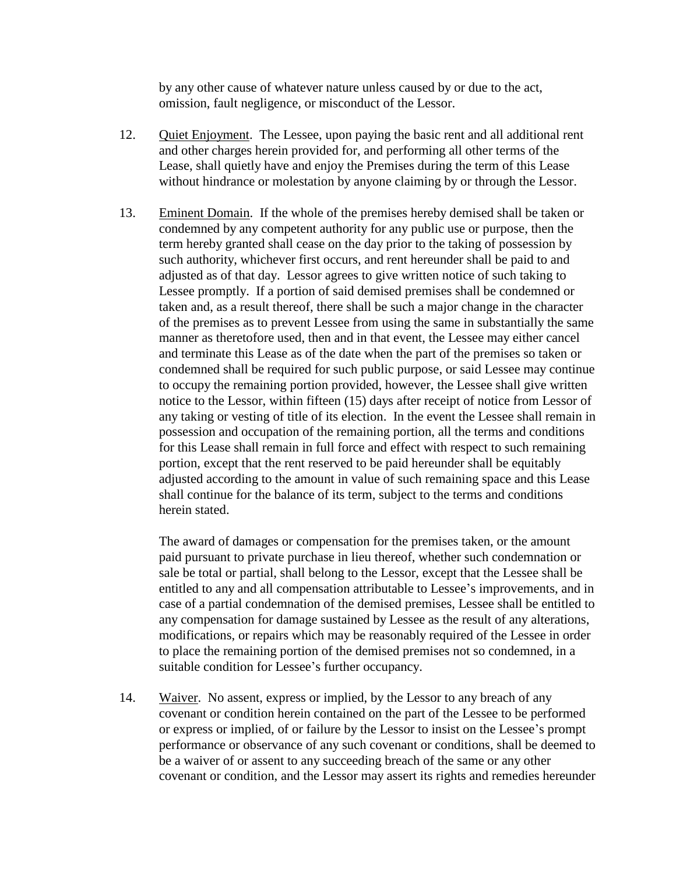by any other cause of whatever nature unless caused by or due to the act, omission, fault negligence, or misconduct of the Lessor.

- 12. Quiet Enjoyment. The Lessee, upon paying the basic rent and all additional rent and other charges herein provided for, and performing all other terms of the Lease, shall quietly have and enjoy the Premises during the term of this Lease without hindrance or molestation by anyone claiming by or through the Lessor.
- 13. Eminent Domain. If the whole of the premises hereby demised shall be taken or condemned by any competent authority for any public use or purpose, then the term hereby granted shall cease on the day prior to the taking of possession by such authority, whichever first occurs, and rent hereunder shall be paid to and adjusted as of that day. Lessor agrees to give written notice of such taking to Lessee promptly. If a portion of said demised premises shall be condemned or taken and, as a result thereof, there shall be such a major change in the character of the premises as to prevent Lessee from using the same in substantially the same manner as theretofore used, then and in that event, the Lessee may either cancel and terminate this Lease as of the date when the part of the premises so taken or condemned shall be required for such public purpose, or said Lessee may continue to occupy the remaining portion provided, however, the Lessee shall give written notice to the Lessor, within fifteen (15) days after receipt of notice from Lessor of any taking or vesting of title of its election. In the event the Lessee shall remain in possession and occupation of the remaining portion, all the terms and conditions for this Lease shall remain in full force and effect with respect to such remaining portion, except that the rent reserved to be paid hereunder shall be equitably adjusted according to the amount in value of such remaining space and this Lease shall continue for the balance of its term, subject to the terms and conditions herein stated.

The award of damages or compensation for the premises taken, or the amount paid pursuant to private purchase in lieu thereof, whether such condemnation or sale be total or partial, shall belong to the Lessor, except that the Lessee shall be entitled to any and all compensation attributable to Lessee's improvements, and in case of a partial condemnation of the demised premises, Lessee shall be entitled to any compensation for damage sustained by Lessee as the result of any alterations, modifications, or repairs which may be reasonably required of the Lessee in order to place the remaining portion of the demised premises not so condemned, in a suitable condition for Lessee's further occupancy.

14. Waiver. No assent, express or implied, by the Lessor to any breach of any covenant or condition herein contained on the part of the Lessee to be performed or express or implied, of or failure by the Lessor to insist on the Lessee's prompt performance or observance of any such covenant or conditions, shall be deemed to be a waiver of or assent to any succeeding breach of the same or any other covenant or condition, and the Lessor may assert its rights and remedies hereunder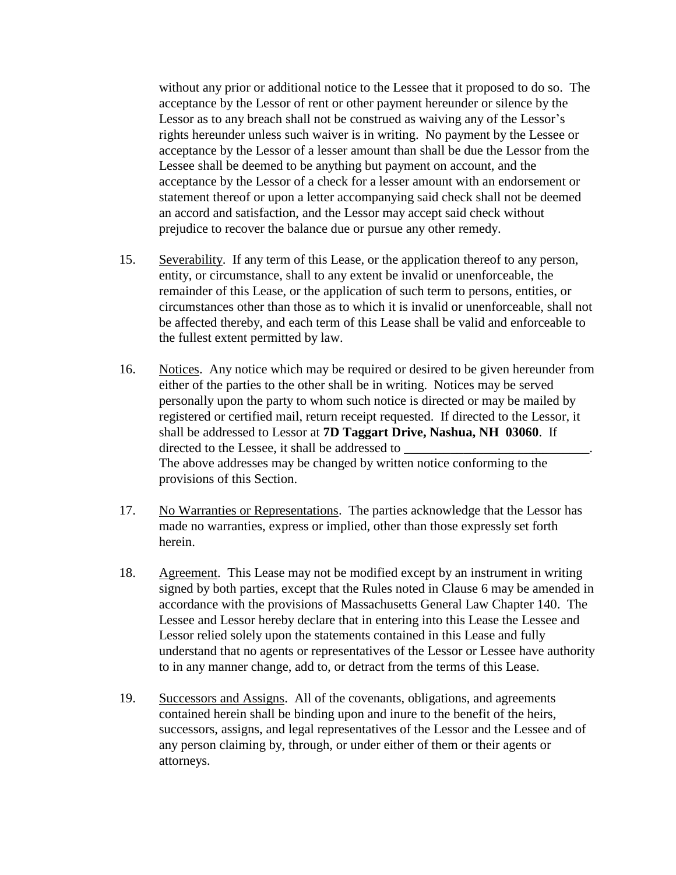without any prior or additional notice to the Lessee that it proposed to do so. The acceptance by the Lessor of rent or other payment hereunder or silence by the Lessor as to any breach shall not be construed as waiving any of the Lessor's rights hereunder unless such waiver is in writing. No payment by the Lessee or acceptance by the Lessor of a lesser amount than shall be due the Lessor from the Lessee shall be deemed to be anything but payment on account, and the acceptance by the Lessor of a check for a lesser amount with an endorsement or statement thereof or upon a letter accompanying said check shall not be deemed an accord and satisfaction, and the Lessor may accept said check without prejudice to recover the balance due or pursue any other remedy.

- 15. Severability. If any term of this Lease, or the application thereof to any person, entity, or circumstance, shall to any extent be invalid or unenforceable, the remainder of this Lease, or the application of such term to persons, entities, or circumstances other than those as to which it is invalid or unenforceable, shall not be affected thereby, and each term of this Lease shall be valid and enforceable to the fullest extent permitted by law.
- 16. Notices. Any notice which may be required or desired to be given hereunder from either of the parties to the other shall be in writing. Notices may be served personally upon the party to whom such notice is directed or may be mailed by registered or certified mail, return receipt requested. If directed to the Lessor, it shall be addressed to Lessor at **7D Taggart Drive, Nashua, NH 03060**. If directed to the Lessee, it shall be addressed to The above addresses may be changed by written notice conforming to the provisions of this Section.
- 17. No Warranties or Representations. The parties acknowledge that the Lessor has made no warranties, express or implied, other than those expressly set forth herein.
- 18. Agreement. This Lease may not be modified except by an instrument in writing signed by both parties, except that the Rules noted in Clause 6 may be amended in accordance with the provisions of Massachusetts General Law Chapter 140. The Lessee and Lessor hereby declare that in entering into this Lease the Lessee and Lessor relied solely upon the statements contained in this Lease and fully understand that no agents or representatives of the Lessor or Lessee have authority to in any manner change, add to, or detract from the terms of this Lease.
- 19. Successors and Assigns. All of the covenants, obligations, and agreements contained herein shall be binding upon and inure to the benefit of the heirs, successors, assigns, and legal representatives of the Lessor and the Lessee and of any person claiming by, through, or under either of them or their agents or attorneys.